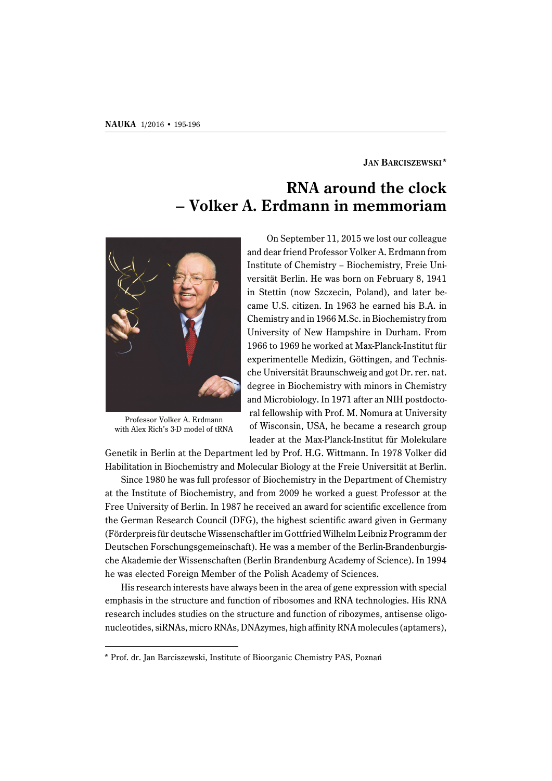## **JAN BARCISZEWSKI\***

## **RNA around the clock – Volker A. Erdmann in memmoriam**



Professor Volker A. Erdmann with Alex Rich's 3-D model of tRNA

On September 11, 2015 we lost our colleague and dear friend Professor Volker A. Erdmann from Institute of Chemistry – Biochemistry, Freie Universität Berlin. He was born on February 8, 1941 in Stettin (now Szczecin, Poland), and later became U.S. citizen. In 1963 he earned his B.A. in Chemistry and in 1966 M.Sc. in Biochemistry from University of New Hampshire in Durham. From 1966 to 1969 he worked at Max-Planck-Institut für experimentelle Medizin, Göttingen, and Technische Universität Braunschweig and got Dr. rer. nat. degree in Biochemistry with minors in Chemistry and Microbiology. In 1971 after an NIH postdoctoral fellowship with Prof. M. Nomura at University of Wisconsin, USA, he became a research group leader at the Max-Planck-Institut für Molekulare

Genetik in Berlin at the Department led by Prof. H.G. Wittmann. In 1978 Volker did Habilitation in Biochemistry and Molecular Biology at the Freie Universität at Berlin.

Since 1980 he was full professor of Biochemistry in the Department of Chemistry at the Institute of Biochemistry, and from 2009 he worked a guest Professor at the Free University of Berlin. In 1987 he received an award for scientific excellence from the German Research Council (DFG), the highest scientific award given in Germany (Förderpreis für deutsche Wissenschaftler im Gottfried Wilhelm Leibniz Programm der Deutschen Forschungsgemeinschaft). He was a member of the Berlin-Brandenburgische Akademie der Wissenschaften (Berlin Brandenburg Academy of Science). In 1994 he was elected Foreign Member of the Polish Academy of Sciences.

His research interests have always been in the area of gene expression with special emphasis in the structure and function of ribosomes and RNA technologies. His RNA research includes studies on the structure and function of ribozymes, antisense oligonucleotides, siRNAs, micro RNAs, DNAzymes, high affinity RNA molecules (aptamers),

<sup>\*</sup> Prof. dr. Jan Barciszewski, Institute of Bioorganic Chemistry PAS, Poznań